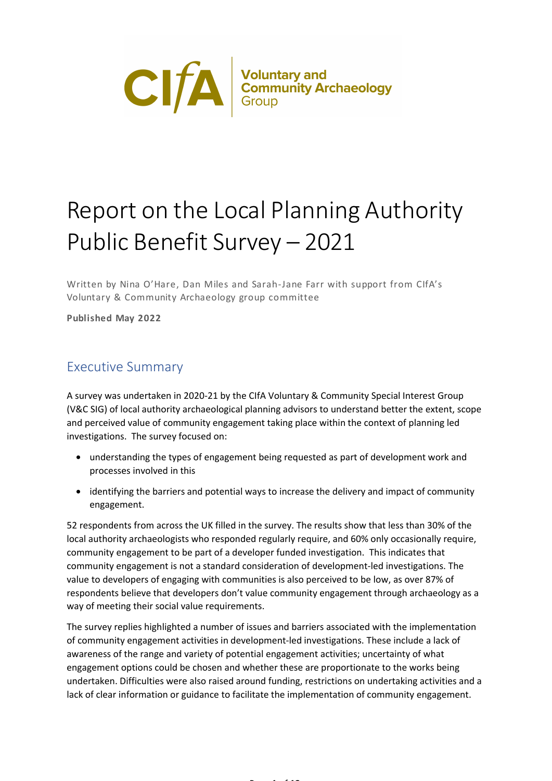

# Report on the Local Planning Authority Public Benefit Survey – 2021

Written by Nina O'Hare, Dan Miles and Sarah-Jane Farr with support from CIfA's Voluntary & Community Archaeology group committee

**Published May 2022**

# Executive Summary

A survey was undertaken in 2020-21 by the CIfA Voluntary & Community Special Interest Group (V&C SIG) of local authority archaeological planning advisors to understand better the extent, scope and perceived value of community engagement taking place within the context of planning led investigations. The survey focused on:

- understanding the types of engagement being requested as part of development work and processes involved in this
- identifying the barriers and potential ways to increase the delivery and impact of community engagement.

52 respondents from across the UK filled in the survey. The results show that less than 30% of the local authority archaeologists who responded regularly require, and 60% only occasionally require, community engagement to be part of a developer funded investigation. This indicates that community engagement is not a standard consideration of development-led investigations. The value to developers of engaging with communities is also perceived to be low, as over 87% of respondents believe that developers don't value community engagement through archaeology as a way of meeting their social value requirements.

The survey replies highlighted a number of issues and barriers associated with the implementation of community engagement activities in development-led investigations. These include a lack of awareness of the range and variety of potential engagement activities; uncertainty of what engagement options could be chosen and whether these are proportionate to the works being undertaken. Difficulties were also raised around funding, restrictions on undertaking activities and a lack of clear information or guidance to facilitate the implementation of community engagement.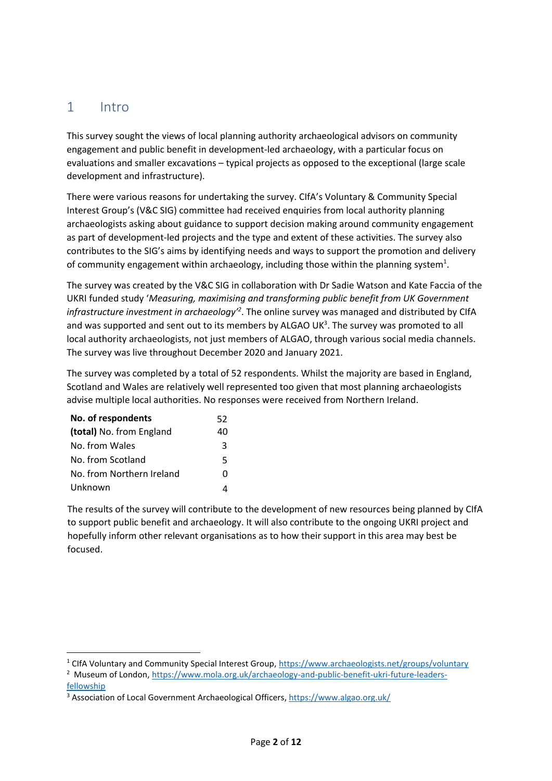# 1 Intro

This survey sought the views of local planning authority archaeological advisors on community engagement and public benefit in development-led archaeology, with a particular focus on evaluations and smaller excavations – typical projects as opposed to the exceptional (large scale development and infrastructure).

There were various reasons for undertaking the survey. CIfA's Voluntary & Community Special Interest Group's (V&C SIG) committee had received enquiries from local authority planning archaeologists asking about guidance to support decision making around community engagement as part of development-led projects and the type and extent of these activities. The survey also contributes to the SIG's aims by identifying needs and ways to support the promotion and delivery of community engagement within archaeology, including those within the planning system<sup>1</sup>.

The survey was created by the V&C SIG in collaboration with Dr Sadie Watson and Kate Faccia of the UKRI funded study '*Measuring, maximising and transforming public benefit from UK Government infrastructure investment in archaeology'<sup>2</sup>* . The online survey was managed and distributed by CIfA and was supported and sent out to its members by ALGAO UK $3$ . The survey was promoted to all local authority archaeologists, not just members of ALGAO, through various social media channels. The survey was live throughout December 2020 and January 2021.

The survey was completed by a total of 52 respondents. Whilst the majority are based in England, Scotland and Wales are relatively well represented too given that most planning archaeologists advise multiple local authorities. No responses were received from Northern Ireland.

| No. of respondents        | 52 |
|---------------------------|----|
| (total) No. from England  | 40 |
| No. from Wales            | 3  |
| No. from Scotland         | 5  |
| No. from Northern Ireland | O  |
| Unknown                   |    |

The results of the survey will contribute to the development of new resources being planned by CIfA to support public benefit and archaeology. It will also contribute to the ongoing UKRI project and hopefully inform other relevant organisations as to how their support in this area may best be focused.

<sup>&</sup>lt;sup>1</sup> CIfA Voluntary and Community Special Interest Group,<https://www.archaeologists.net/groups/voluntary>

<sup>&</sup>lt;sup>2</sup> Museum of London, [https://www.mola.org.uk/archaeology-and-public-benefit-ukri-future-leaders](https://www.mola.org.uk/archaeology-and-public-benefit-ukri-future-leaders-fellowship)[fellowship](https://www.mola.org.uk/archaeology-and-public-benefit-ukri-future-leaders-fellowship)

<sup>3</sup> Association of Local Government Archaeological Officers,<https://www.algao.org.uk/>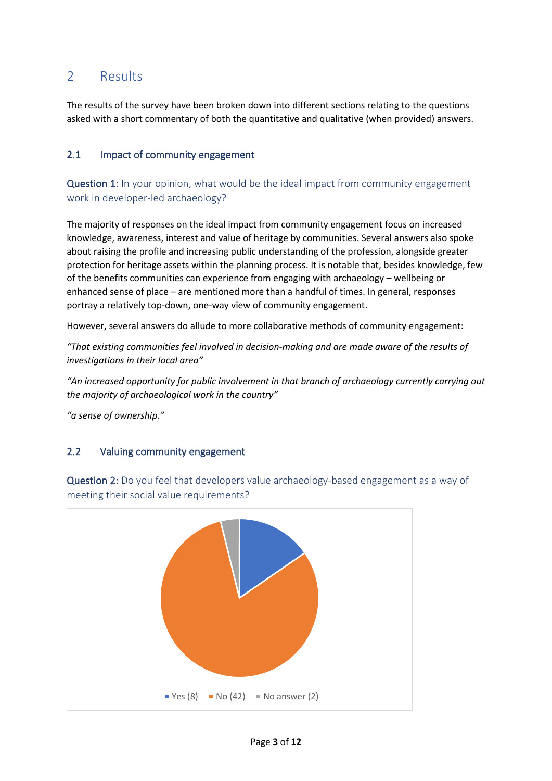# 2 Results

The results of the survey have been broken down into different sections relating to the questions asked with a short commentary of both the quantitative and qualitative (when provided) answers.

## 2.1 Impact of community engagement

Question 1: In your opinion, what would be the ideal impact from community engagement work in developer-led archaeology?

The majority of responses on the ideal impact from community engagement focus on increased knowledge, awareness, interest and value of heritage by communities. Several answers also spoke about raising the profile and increasing public understanding of the profession, alongside greater protection for heritage assets within the planning process. It is notable that, besides knowledge, few of the benefits communities can experience from engaging with archaeology – wellbeing or enhanced sense of place – are mentioned more than a handful of times. In general, responses portray a relatively top-down, one-way view of community engagement.

However, several answers do allude to more collaborative methods of community engagement:

*"That existing communities feel involved in decision-making and are made aware of the results of investigations in their local area"* 

*"An increased opportunity for public involvement in that branch of archaeology currently carrying out the majority of archaeological work in the country"*

*"a sense of ownership."*

# 2.2 Valuing community engagement

Question 2: Do you feel that developers value archaeology-based engagement as a way of meeting their social value requirements?

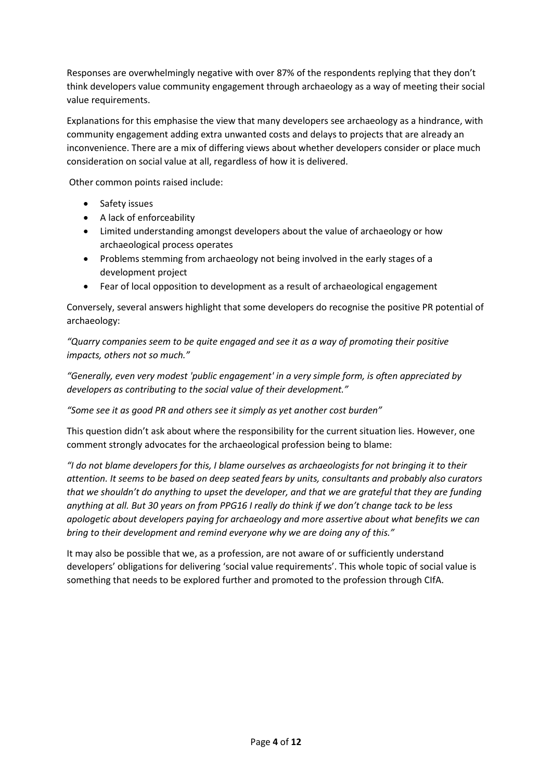Responses are overwhelmingly negative with over 87% of the respondents replying that they don't think developers value community engagement through archaeology as a way of meeting their social value requirements.

Explanations for this emphasise the view that many developers see archaeology as a hindrance, with community engagement adding extra unwanted costs and delays to projects that are already an inconvenience. There are a mix of differing views about whether developers consider or place much consideration on social value at all, regardless of how it is delivered.

Other common points raised include:

- Safety issues
- A lack of enforceability
- Limited understanding amongst developers about the value of archaeology or how archaeological process operates
- Problems stemming from archaeology not being involved in the early stages of a development project
- Fear of local opposition to development as a result of archaeological engagement

Conversely, several answers highlight that some developers do recognise the positive PR potential of archaeology:

*"Quarry companies seem to be quite engaged and see it as a way of promoting their positive impacts, others not so much."*

*"Generally, even very modest 'public engagement' in a very simple form, is often appreciated by developers as contributing to the social value of their development."*

*"Some see it as good PR and others see it simply as yet another cost burden"*

This question didn't ask about where the responsibility for the current situation lies. However, one comment strongly advocates for the archaeological profession being to blame:

*"I do not blame developers for this, I blame ourselves as archaeologists for not bringing it to their attention. It seems to be based on deep seated fears by units, consultants and probably also curators that we shouldn't do anything to upset the developer, and that we are grateful that they are funding anything at all. But 30 years on from PPG16 I really do think if we don't change tack to be less apologetic about developers paying for archaeology and more assertive about what benefits we can bring to their development and remind everyone why we are doing any of this."*

It may also be possible that we, as a profession, are not aware of or sufficiently understand developers' obligations for delivering 'social value requirements'. This whole topic of social value is something that needs to be explored further and promoted to the profession through CIfA.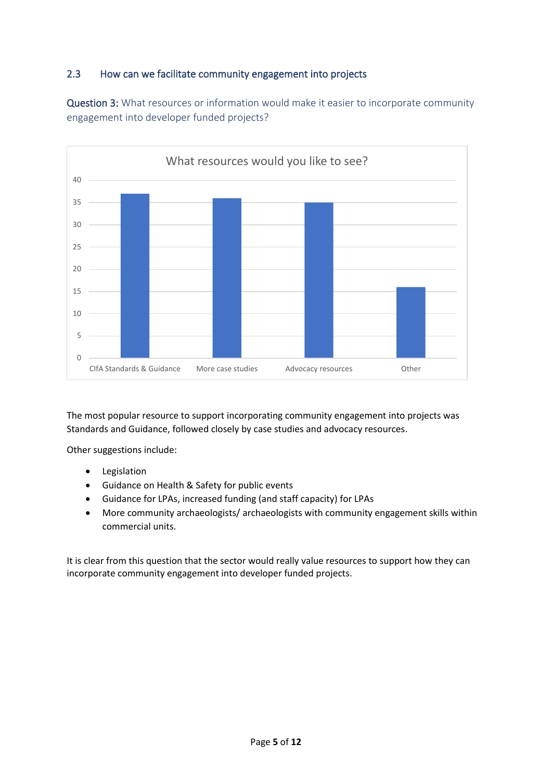# 2.3 How can we facilitate community engagement into projects

Question 3: What resources or information would make it easier to incorporate community engagement into developer funded projects?



The most popular resource to support incorporating community engagement into projects was Standards and Guidance, followed closely by case studies and advocacy resources.

Other suggestions include:

- Legislation
- Guidance on Health & Safety for public events
- Guidance for LPAs, increased funding (and staff capacity) for LPAs
- More community archaeologists/ archaeologists with community engagement skills within commercial units.

It is clear from this question that the sector would really value resources to support how they can incorporate community engagement into developer funded projects.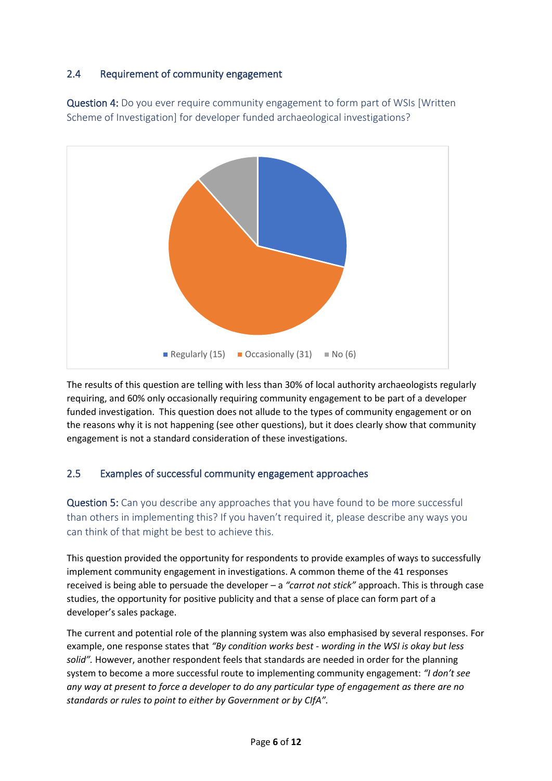# 2.4 Requirement of community engagement

Question 4: Do you ever require community engagement to form part of WSIs [Written Scheme of Investigation] for developer funded archaeological investigations?



The results of this question are telling with less than 30% of local authority archaeologists regularly requiring, and 60% only occasionally requiring community engagement to be part of a developer funded investigation. This question does not allude to the types of community engagement or on the reasons why it is not happening (see other questions), but it does clearly show that community engagement is not a standard consideration of these investigations.

## 2.5 Examples of successful community engagement approaches

Question 5: Can you describe any approaches that you have found to be more successful than others in implementing this? If you haven't required it, please describe any ways you can think of that might be best to achieve this.

This question provided the opportunity for respondents to provide examples of ways to successfully implement community engagement in investigations. A common theme of the 41 responses received is being able to persuade the developer – a *"carrot not stick"* approach. This is through case studies, the opportunity for positive publicity and that a sense of place can form part of a developer's sales package.

The current and potential role of the planning system was also emphasised by several responses. For example, one response states that *"By condition works best - wording in the WSI is okay but less solid".* However, another respondent feels that standards are needed in order for the planning system to become a more successful route to implementing community engagement: *"I don't see any way at present to force a developer to do any particular type of engagement as there are no standards or rules to point to either by Government or by CIfA".*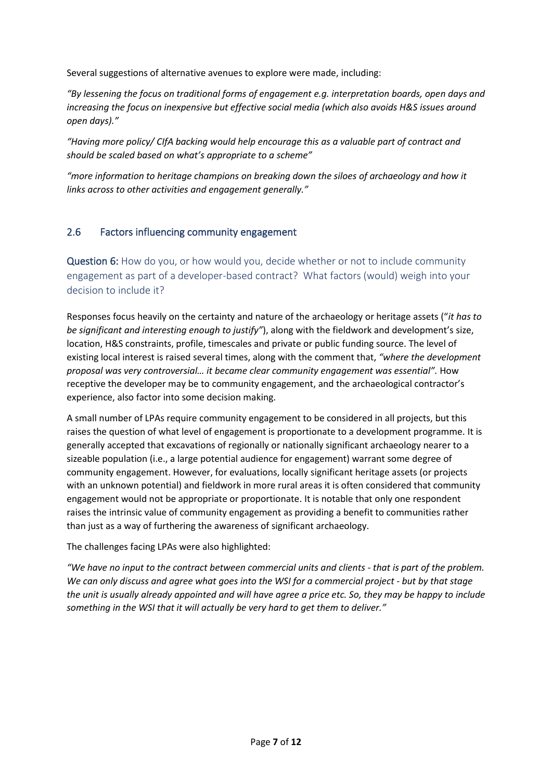Several suggestions of alternative avenues to explore were made, including:

*"By lessening the focus on traditional forms of engagement e.g. interpretation boards, open days and increasing the focus on inexpensive but effective social media (which also avoids H&S issues around open days)."*

*"Having more policy/ CIfA backing would help encourage this as a valuable part of contract and should be scaled based on what's appropriate to a scheme"*

*"more information to heritage champions on breaking down the siloes of archaeology and how it links across to other activities and engagement generally."*

#### 2.6 Factors influencing community engagement

Question 6: How do you, or how would you, decide whether or not to include community engagement as part of a developer-based contract? What factors (would) weigh into your decision to include it?

Responses focus heavily on the certainty and nature of the archaeology or heritage assets ("*it has to be significant and interesting enough to justify"*), along with the fieldwork and development's size, location, H&S constraints, profile, timescales and private or public funding source. The level of existing local interest is raised several times, along with the comment that, *"where the development proposal was very controversial… it became clear community engagement was essential".* How receptive the developer may be to community engagement, and the archaeological contractor's experience, also factor into some decision making.

A small number of LPAs require community engagement to be considered in all projects, but this raises the question of what level of engagement is proportionate to a development programme. It is generally accepted that excavations of regionally or nationally significant archaeology nearer to a sizeable population (i.e., a large potential audience for engagement) warrant some degree of community engagement. However, for evaluations, locally significant heritage assets (or projects with an unknown potential) and fieldwork in more rural areas it is often considered that community engagement would not be appropriate or proportionate. It is notable that only one respondent raises the intrinsic value of community engagement as providing a benefit to communities rather than just as a way of furthering the awareness of significant archaeology.

The challenges facing LPAs were also highlighted:

*"We have no input to the contract between commercial units and clients - that is part of the problem. We can only discuss and agree what goes into the WSI for a commercial project - but by that stage the unit is usually already appointed and will have agree a price etc. So, they may be happy to include something in the WSI that it will actually be very hard to get them to deliver."*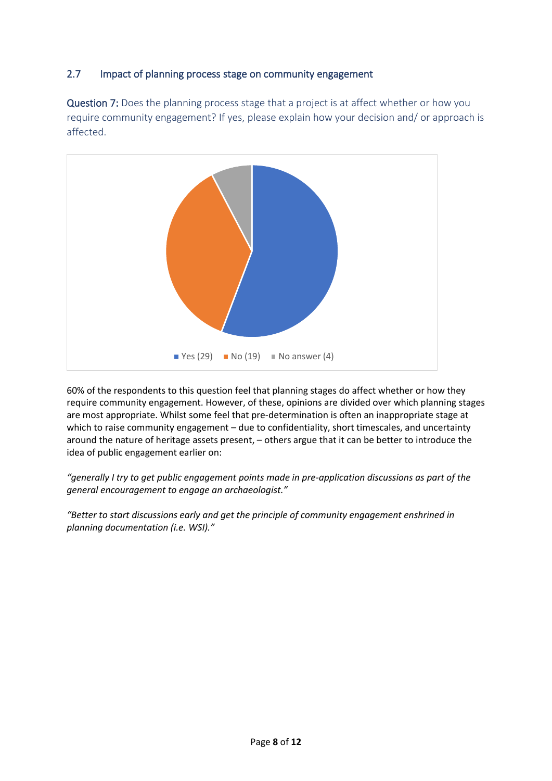# 2.7 Impact of planning process stage on community engagement

Question 7: Does the planning process stage that a project is at affect whether or how you require community engagement? If yes, please explain how your decision and/ or approach is affected.



60% of the respondents to this question feel that planning stages do affect whether or how they require community engagement. However, of these, opinions are divided over which planning stages are most appropriate. Whilst some feel that pre-determination is often an inappropriate stage at which to raise community engagement - due to confidentiality, short timescales, and uncertainty around the nature of heritage assets present, – others argue that it can be better to introduce the idea of public engagement earlier on:

*"generally I try to get public engagement points made in pre-application discussions as part of the general encouragement to engage an archaeologist."* 

*"Better to start discussions early and get the principle of community engagement enshrined in planning documentation (i.e. WSI)."*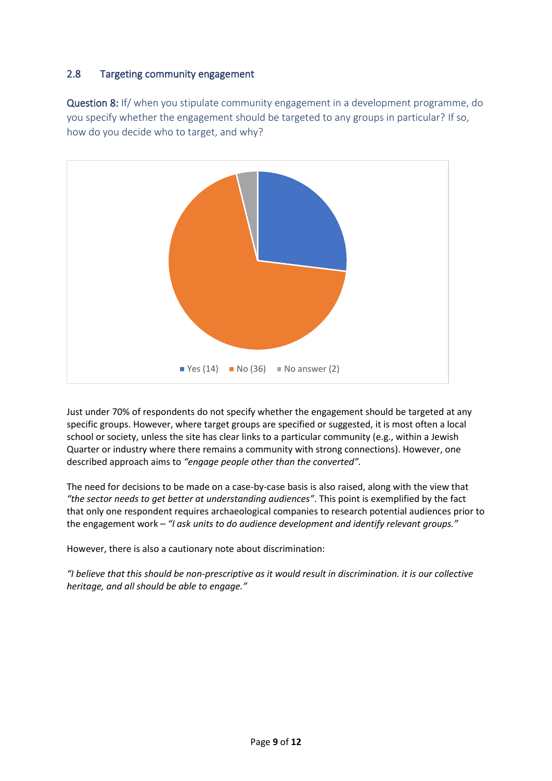# 2.8 Targeting community engagement

Question 8: If/ when you stipulate community engagement in a development programme, do you specify whether the engagement should be targeted to any groups in particular? If so, how do you decide who to target, and why?



Just under 70% of respondents do not specify whether the engagement should be targeted at any specific groups. However, where target groups are specified or suggested, it is most often a local school or society, unless the site has clear links to a particular community (e.g., within a Jewish Quarter or industry where there remains a community with strong connections). However, one described approach aims to *"engage people other than the converted".* 

The need for decisions to be made on a case-by-case basis is also raised, along with the view that *"the sector needs to get better at understanding audiences"*. This point is exemplified by the fact that only one respondent requires archaeological companies to research potential audiences prior to the engagement work – *"I ask units to do audience development and identify relevant groups."*

However, there is also a cautionary note about discrimination:

*"I believe that this should be non-prescriptive as it would result in discrimination. it is our collective heritage, and all should be able to engage."*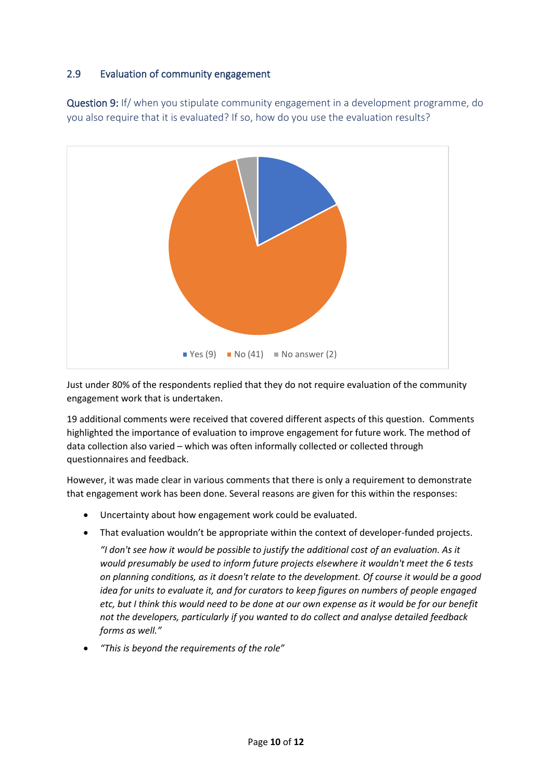# 2.9 Evaluation of community engagement

Question 9: If/ when you stipulate community engagement in a development programme, do you also require that it is evaluated? If so, how do you use the evaluation results?



Just under 80% of the respondents replied that they do not require evaluation of the community engagement work that is undertaken.

19 additional comments were received that covered different aspects of this question. Comments highlighted the importance of evaluation to improve engagement for future work. The method of data collection also varied – which was often informally collected or collected through questionnaires and feedback.

However, it was made clear in various comments that there is only a requirement to demonstrate that engagement work has been done. Several reasons are given for this within the responses:

- Uncertainty about how engagement work could be evaluated.
- That evaluation wouldn't be appropriate within the context of developer-funded projects.

*"I don't see how it would be possible to justify the additional cost of an evaluation. As it would presumably be used to inform future projects elsewhere it wouldn't meet the 6 tests on planning conditions, as it doesn't relate to the development. Of course it would be a good idea for units to evaluate it, and for curators to keep figures on numbers of people engaged etc, but I think this would need to be done at our own expense as it would be for our benefit not the developers, particularly if you wanted to do collect and analyse detailed feedback forms as well."*

• *"This is beyond the requirements of the role"*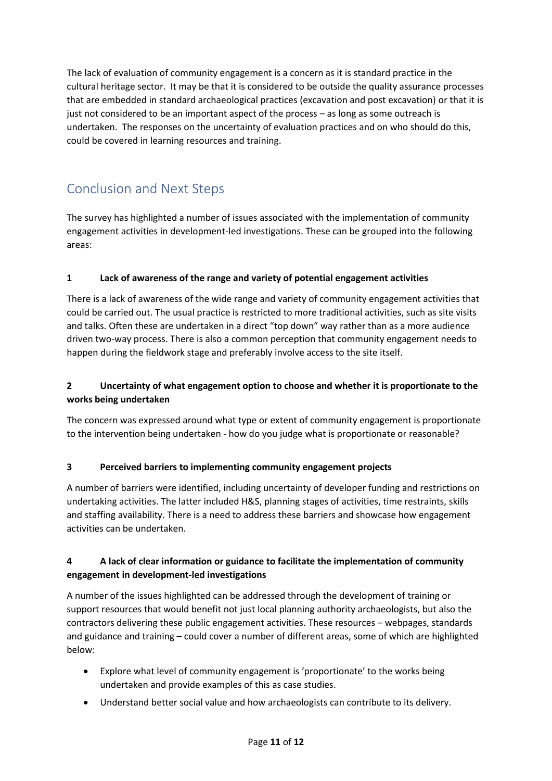The lack of evaluation of community engagement is a concern as it is standard practice in the cultural heritage sector. It may be that it is considered to be outside the quality assurance processes that are embedded in standard archaeological practices (excavation and post excavation) or that it is just not considered to be an important aspect of the process – as long as some outreach is undertaken. The responses on the uncertainty of evaluation practices and on who should do this, could be covered in learning resources and training.

# Conclusion and Next Steps

The survey has highlighted a number of issues associated with the implementation of community engagement activities in development-led investigations. These can be grouped into the following areas:

#### **1 Lack of awareness of the range and variety of potential engagement activities**

There is a lack of awareness of the wide range and variety of community engagement activities that could be carried out. The usual practice is restricted to more traditional activities, such as site visits and talks. Often these are undertaken in a direct "top down" way rather than as a more audience driven two-way process. There is also a common perception that community engagement needs to happen during the fieldwork stage and preferably involve access to the site itself.

## **2 Uncertainty of what engagement option to choose and whether it is proportionate to the works being undertaken**

The concern was expressed around what type or extent of community engagement is proportionate to the intervention being undertaken - how do you judge what is proportionate or reasonable?

## **3 Perceived barriers to implementing community engagement projects**

A number of barriers were identified, including uncertainty of developer funding and restrictions on undertaking activities. The latter included H&S, planning stages of activities, time restraints, skills and staffing availability. There is a need to address these barriers and showcase how engagement activities can be undertaken.

## **4 A lack of clear information or guidance to facilitate the implementation of community engagement in development-led investigations**

A number of the issues highlighted can be addressed through the development of training or support resources that would benefit not just local planning authority archaeologists, but also the contractors delivering these public engagement activities. These resources – webpages, standards and guidance and training – could cover a number of different areas, some of which are highlighted below:

- Explore what level of community engagement is 'proportionate' to the works being undertaken and provide examples of this as case studies.
- Understand better social value and how archaeologists can contribute to its delivery.